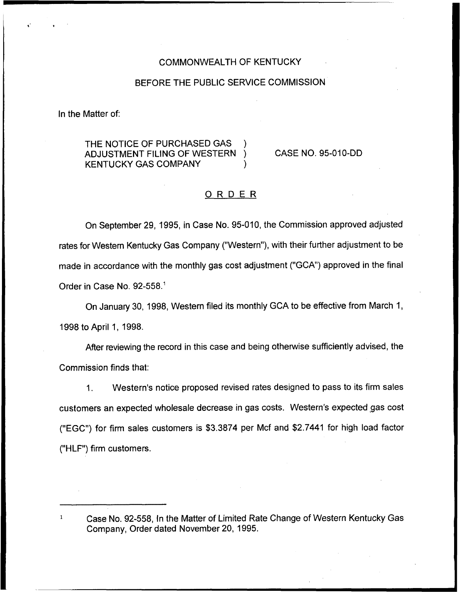### COMMONWEALTH OF KENTUCKY

## BEFORE THE PUBLIC SERVICE COMMISSION

In the Matter of:

# THE NOTICE OF PURCHASED GAS ADJUSTMENT FILING OF WESTERN **KENTUCKY GAS COMPANY**

CASE NO. 95-010-DD

# ORDER

On September 29, 1995, in Case No. 95-010, the Commission approved adjusted rates for Western Kentucky Gas Company ("Western"), with their further adjustment to be made in accordance with the monthly gas cost adjustment ("GCA") approved in the final Order in Case No. 92-558.<sup>1</sup>

On January 30, 1998, Western filed its monthly GCA to be effective from March 1, 1998to April 1, 1998.

After reviewing the record in this case and being otherwise sufficiently advised, the Commission finds that:

1. Western's notice proposed revised rates designed to pass to its firm sales customers an expected wholesale decrease in gas costs. Western's expected gas cost ("EGC") for firm sales customers is \$3.3874 per Mcf and \$2.7441 for high load factor ("HLF") firm customers.

Case No. 92-558, In the Matter of Limited Rate Change of Western Kentucky Gas Company, Order dated November 20, 1995.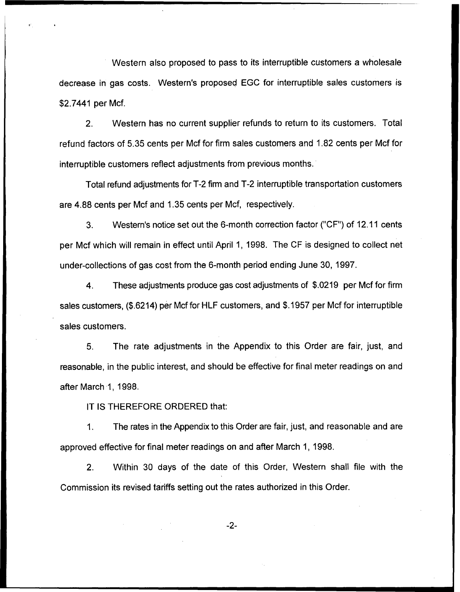Western also proposed to pass to its interruptible customers a wholesale decrease in gas costs. Western's proposed EGC for interruptible sales customers is \$2.7441 per Mcf.

2. Western has no current supplier refunds to return to its customers. Total refund factors of 5.35 cents per Mcf for firm sales customers and 1.82 cents per Mcf for interruptible customers reflect adjustments from previous months.

Total refund adjustments for T-2 firm and T-2 interruptible transportation customers are 4.88 cents per Mcf and 1.35cents per Mcf, respectively.

3. Western's notice set out the 6-month correction factor ("CF") of 12.11 cents per Mcf which will remain in effect until April 1, 1998. The CF is designed to collect net under-collections of gas cost from the 6-month period ending June 30, 1997.

4. These adjustments produce gas cost adjustments of \$.0219 per Mcf for firm sales customers, (\$.6214) per Mcf for HLF customers, and \$.1957 per Mcf for interruptible sales customers.

5. The rate adjustments in the Appendix to this Order are fair, just, and reasonable, in the public interest, and should be effective for final meter readings on and after March 1, 1998.

IT IS THEREFORE ORDERED that:

 $1<sub>1</sub>$ The rates in the Appendix to this Order are fair, just, and reasonable and are approved effective for final meter readings on and after March 1, 1998.

2. Within 30 days of the date of this Order, Western shall file with the Commission its revised tariffs setting out the rates authorized in this Order.

 $-2-$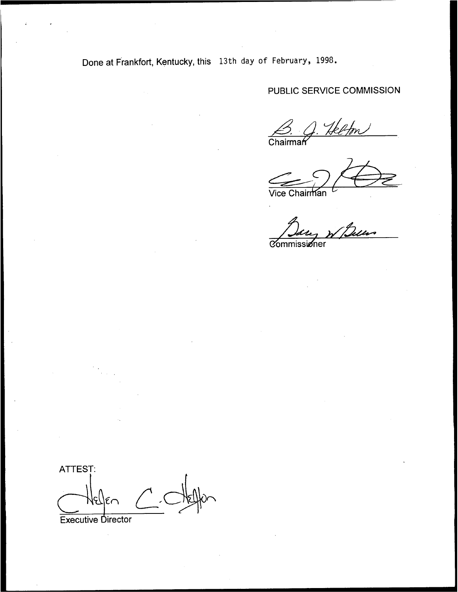Done at Frankfort, Kentucky, this 13th day of February, 1998.

PUBLIC SERVICE COMMISSION

B. J. Helfon

Vice Chairman ™

Bary W Belles

ATTEST:  $C$  $\epsilon$ r

Executive Director